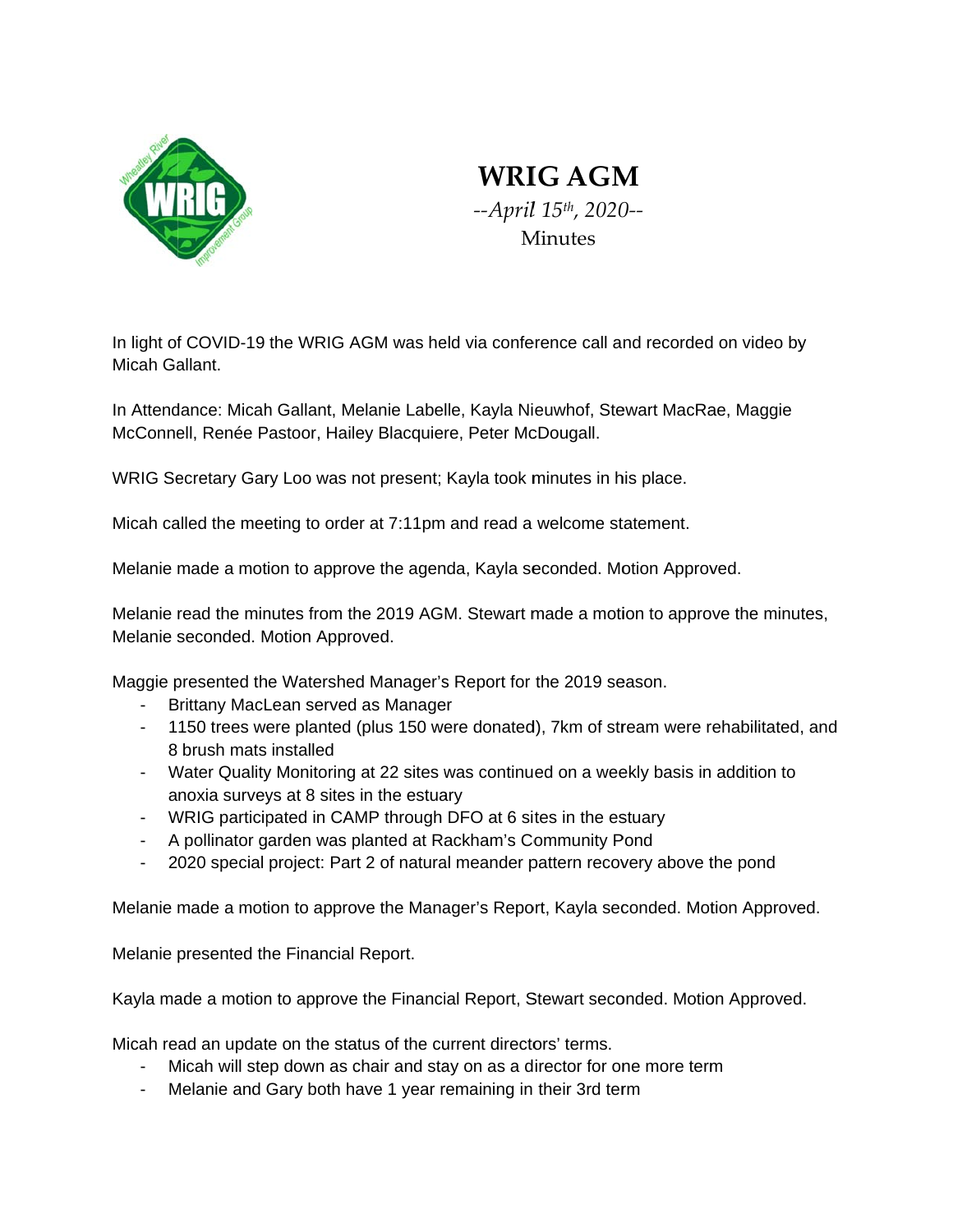

## **WRIG AGM** --April 15th, 2020--Minutes

In light of COVID-19 the WRIG AGM was held via conference call and recorded on video by Micah Gallant.

In Attendance: Micah Gallant, Melanie Labelle, Kayla Nieuwhof, Stewart MacRae, Maggie McConnell, Renée Pastoor, Hailey Blacquiere, Peter McDougall.

WRIG Secretary Gary Loo was not present; Kayla took minutes in his place.

Micah called the meeting to order at 7:11pm and read a welcome statement.

Melanie made a motion to approve the agenda, Kayla seconded. Motion Approved.

Melanie read the minutes from the 2019 AGM. Stewart made a motion to approve the minutes, Melanie seconded. Motion Approved.

Maggie presented the Watershed Manager's Report for the 2019 season.

- Brittany MacLean served as Manager
- 1150 trees were planted (plus 150 were donated), 7km of stream were rehabilitated, and 8 brush mats installed
- Water Quality Monitoring at 22 sites was continued on a weekly basis in addition to anoxia surveys at 8 sites in the estuary
- WRIG participated in CAMP through DFO at 6 sites in the estuary
- A pollinator garden was planted at Rackham's Community Pond
- $\sim 10^{-1}$ 2020 special project: Part 2 of natural meander pattern recovery above the pond

Melanie made a motion to approve the Manager's Report, Kayla seconded. Motion Approved.

Melanie presented the Financial Report.

Kayla made a motion to approve the Financial Report, Stewart seconded. Motion Approved.

Micah read an update on the status of the current directors' terms.

- Micah will step down as chair and stay on as a director for one more term
- Melanie and Gary both have 1 year remaining in their 3rd term  $\mathbf{L}^{\text{max}}$